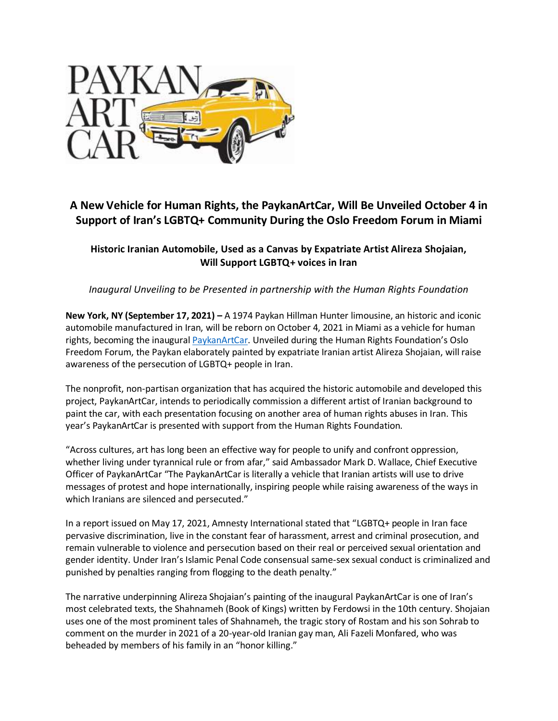

# **A New Vehicle for Human Rights, the PaykanArtCar, Will Be Unveiled October 4 in Support of Iran's LGBTQ+ Community During the Oslo Freedom Forum in Miami**

# **Historic Iranian Automobile, Used as a Canvas by Expatriate Artist Alireza Shojaian, Will Support LGBTQ+ voices in Iran**

*Inaugural Unveiling to be Presented in partnership with the Human Rights Foundation*

**New York, NY (September 17, 2021) –** A 1974 Paykan Hillman Hunter limousine, an historic and iconic automobile manufactured in Iran, will be reborn on October 4, 2021 in Miami as a vehicle for human rights, becoming the inaugural [PaykanArtCar.](http://www.paykanartcar.com/) Unveiled during the Human Rights Foundation's Oslo Freedom Forum, the Paykan elaborately painted by expatriate Iranian artist Alireza Shojaian, will raise awareness of the persecution of LGBTQ+ people in Iran.

The nonprofit, non-partisan organization that has acquired the historic automobile and developed this project, PaykanArtCar, intends to periodically commission a different artist of Iranian background to paint the car, with each presentation focusing on another area of human rights abuses in Iran. This year's PaykanArtCar is presented with support from the Human Rights Foundation.

"Across cultures, art has long been an effective way for people to unify and confront oppression, whether living under tyrannical rule or from afar," said Ambassador Mark D. Wallace, Chief Executive Officer of PaykanArtCar "The PaykanArtCar is literally a vehicle that Iranian artists will use to drive messages of protest and hope internationally, inspiring people while raising awareness of the ways in which Iranians are silenced and persecuted."

In a report issued on May 17, 2021, Amnesty International stated that "LGBTQ+ people in Iran face pervasive discrimination, live in the constant fear of harassment, arrest and criminal prosecution, and remain vulnerable to violence and persecution based on their real or perceived sexual orientation and gender identity. Under Iran's Islamic Penal Code consensual same-sex sexual conduct is criminalized and punished by penalties ranging from flogging to the death penalty."

The narrative underpinning Alireza Shojaian's painting of the inaugural PaykanArtCar is one of Iran's most celebrated texts, the Shahnameh (Book of Kings) written by Ferdowsi in the 10th century. Shojaian uses one of the most prominent tales of Shahnameh, the tragic story of Rostam and his son Sohrab to comment on the murder in 2021 of a 20-year-old Iranian gay man, Ali Fazeli Monfared, who was beheaded by members of his family in an "honor killing."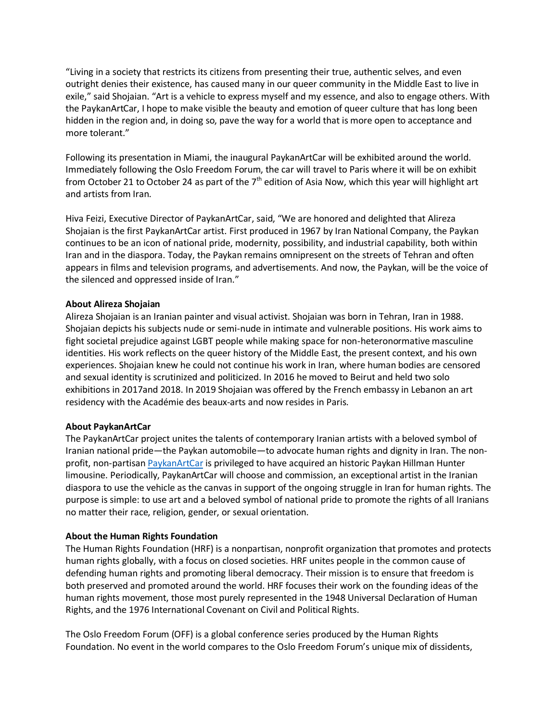"Living in a society that restricts its citizens from presenting their true, authentic selves, and even outright denies their existence, has caused many in our queer community in the Middle East to live in exile," said Shojaian. "Art is a vehicle to express myself and my essence, and also to engage others. With the PaykanArtCar, I hope to make visible the beauty and emotion of queer culture that has long been hidden in the region and, in doing so, pave the way for a world that is more open to acceptance and more tolerant."

Following its presentation in Miami, the inaugural PaykanArtCar will be exhibited around the world. Immediately following the Oslo Freedom Forum, the car will travel to Paris where it will be on exhibit from October 21 to October 24 as part of the  $7<sup>th</sup>$  edition of Asia Now, which this year will highlight art and artists from Iran.

Hiva Feizi, Executive Director of PaykanArtCar, said, "We are honored and delighted that Alireza Shojaian is the first PaykanArtCar artist. First produced in 1967 by Iran National Company, the Paykan continues to be an icon of national pride, modernity, possibility, and industrial capability, both within Iran and in the diaspora. Today, the Paykan remains omnipresent on the streets of Tehran and often appears in films and television programs, and advertisements. And now, the Paykan, will be the voice of the silenced and oppressed inside of Iran."

### **About Alireza Shojaian**

Alireza Shojaian is an Iranian painter and visual activist. Shojaian was born in Tehran, Iran in 1988. Shojaian depicts his subjects nude or semi-nude in intimate and vulnerable positions. His work aims to fight societal prejudice against LGBT people while making space for non-heteronormative masculine identities. His work reflects on the queer history of the Middle East, the present context, and his own experiences. Shojaian knew he could not continue his work in Iran, where human bodies are censored and sexual identity is scrutinized and politicized. In 2016 he moved to Beirut and held two solo exhibitions in 2017and 2018. In 2019 Shojaian was offered by the French embassy in Lebanon an art residency with the Académie des beaux-arts and now resides in Paris.

#### **About PaykanArtCar**

The PaykanArtCar project unites the talents of contemporary Iranian artists with a beloved symbol of Iranian national pride—the Paykan automobile—to advocate human rights and dignity in Iran. The nonprofit, non-partisan [PaykanArtCar](http://www.paykanartcar.com/) is privileged to have acquired an historic Paykan Hillman Hunter limousine. Periodically, PaykanArtCar will choose and commission, an exceptional artist in the Iranian diaspora to use the vehicle as the canvas in support of the ongoing struggle in Iran for human rights. The purpose is simple: to use art and a beloved symbol of national pride to promote the rights of all Iranians no matter their race, religion, gender, or sexual orientation.

#### **About the Human Rights Foundation**

The Human Rights Foundation (HRF) is a nonpartisan, nonprofit organization that promotes and protects human rights globally, with a focus on closed societies. HRF unites people in the common cause of defending human rights and promoting liberal democracy. Their mission is to ensure that freedom is both preserved and promoted around the world. HRF focuses their work on the founding ideas of the human rights movement, those most purely represented in the 1948 Universal Declaration of Human Rights, and the 1976 International Covenant on Civil and Political Rights.

The Oslo Freedom Forum (OFF) is a global conference series produced by the Human Rights Foundation. No event in the world compares to the Oslo Freedom Forum's unique mix of dissidents,